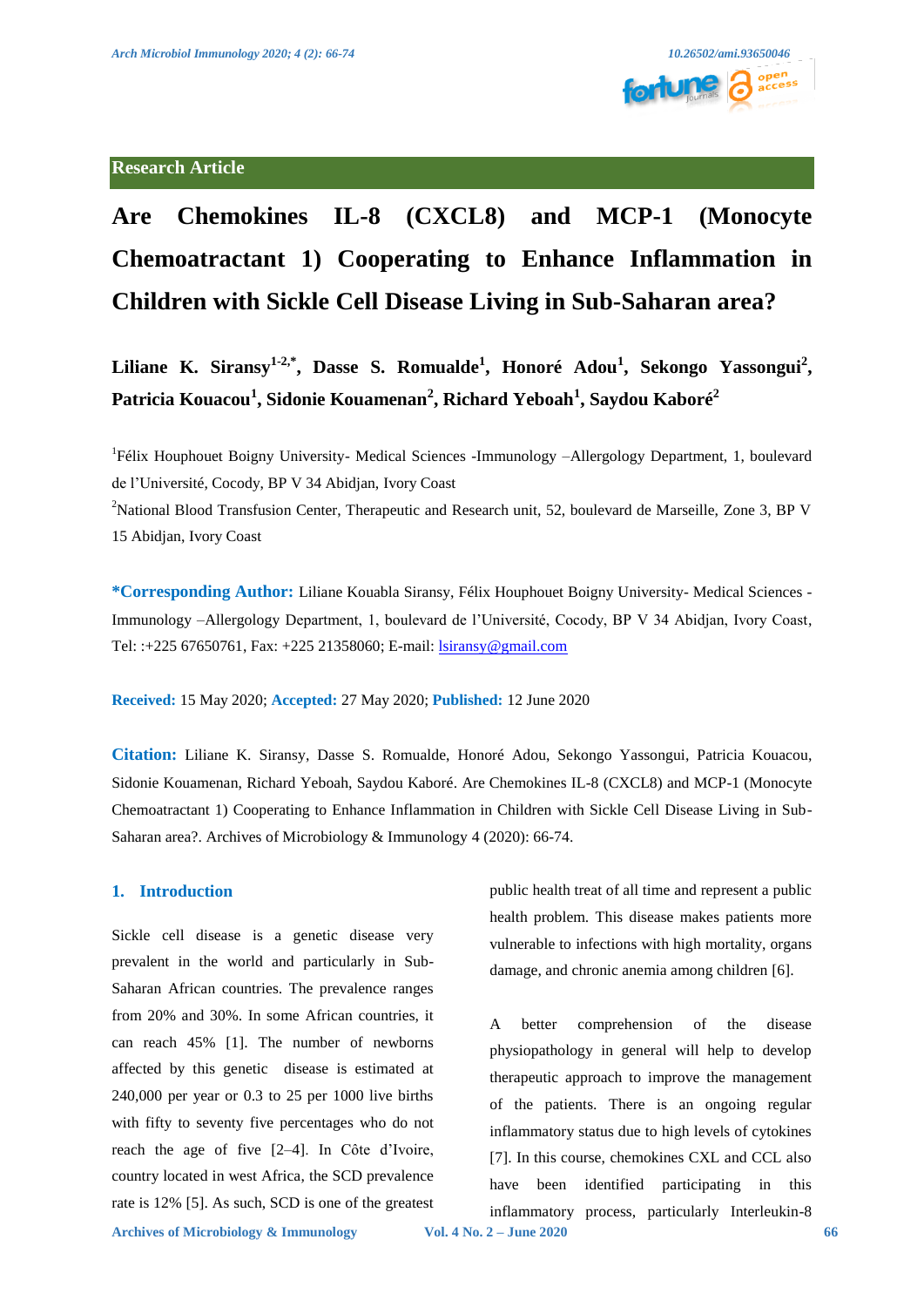

# **Research Article**

# **Are Chemokines IL-8 (CXCL8) and MCP-1 (Monocyte Chemoatractant 1) Cooperating to Enhance Inflammation in Children with Sickle Cell Disease Living in Sub-Saharan area?**

**Liliane K. Siransy1-2,\*, Dasse S. Romualde<sup>1</sup> , Honoré Adou<sup>1</sup> , Sekongo Yassongui<sup>2</sup> , Patricia Kouacou<sup>1</sup> , Sidonie Kouamenan<sup>2</sup> , Richard Yeboah<sup>1</sup> , Saydou Kaboré<sup>2</sup>**

<sup>1</sup>Félix Houphouet Boigny University- Medical Sciences -Immunology -Allergology Department, 1, boulevard de l'Université, Cocody, BP V 34 Abidjan, Ivory Coast

<sup>2</sup>National Blood Transfusion Center, Therapeutic and Research unit, 52, boulevard de Marseille, Zone 3, BP V 15 Abidjan, Ivory Coast

**\*Corresponding Author:** Liliane Kouabla Siransy, Félix Houphouet Boigny University- Medical Sciences - Immunology –Allergology Department, 1, boulevard de l'Université, Cocody, BP V 34 Abidjan, Ivory Coast, Tel: :+225 67650761, Fax: +225 21358060; E-mail[: lsiransy@gmail.com](mailto:lsiransy@gmail.com)

**Received:** 15 May 2020; **Accepted:** 27 May 2020; **Published:** 12 June 2020

**Citation:** Liliane K. Siransy, Dasse S. Romualde, Honoré Adou, Sekongo Yassongui, Patricia Kouacou, Sidonie Kouamenan, Richard Yeboah, Saydou Kaboré. Are Chemokines IL-8 (CXCL8) and MCP-1 (Monocyte Chemoatractant 1) Cooperating to Enhance Inflammation in Children with Sickle Cell Disease Living in Sub-Saharan area?. Archives of Microbiology & Immunology 4 (2020): 66-74.

#### **1. Introduction**

Sickle cell disease is a genetic disease very prevalent in the world and particularly in Sub-Saharan African countries. The prevalence ranges from 20% and 30%. In some African countries, it can reach 45% [1]. The number of newborns affected by this genetic disease is estimated at 240,000 per year or 0.3 to 25 per 1000 live births with fifty to seventy five percentages who do not reach the age of five [2–4]. In Côte d'Ivoire, country located in west Africa, the SCD prevalence rate is 12% [5]. As such, SCD is one of the greatest public health treat of all time and represent a public health problem. This disease makes patients more vulnerable to infections with high mortality, organs damage, and chronic anemia among children [6].

A better comprehension of the disease physiopathology in general will help to develop therapeutic approach to improve the management of the patients. There is an ongoing regular inflammatory status due to high levels of cytokines [7]. In this course, chemokines CXL and CCL also have been identified participating in this inflammatory process, particularly Interleukin-8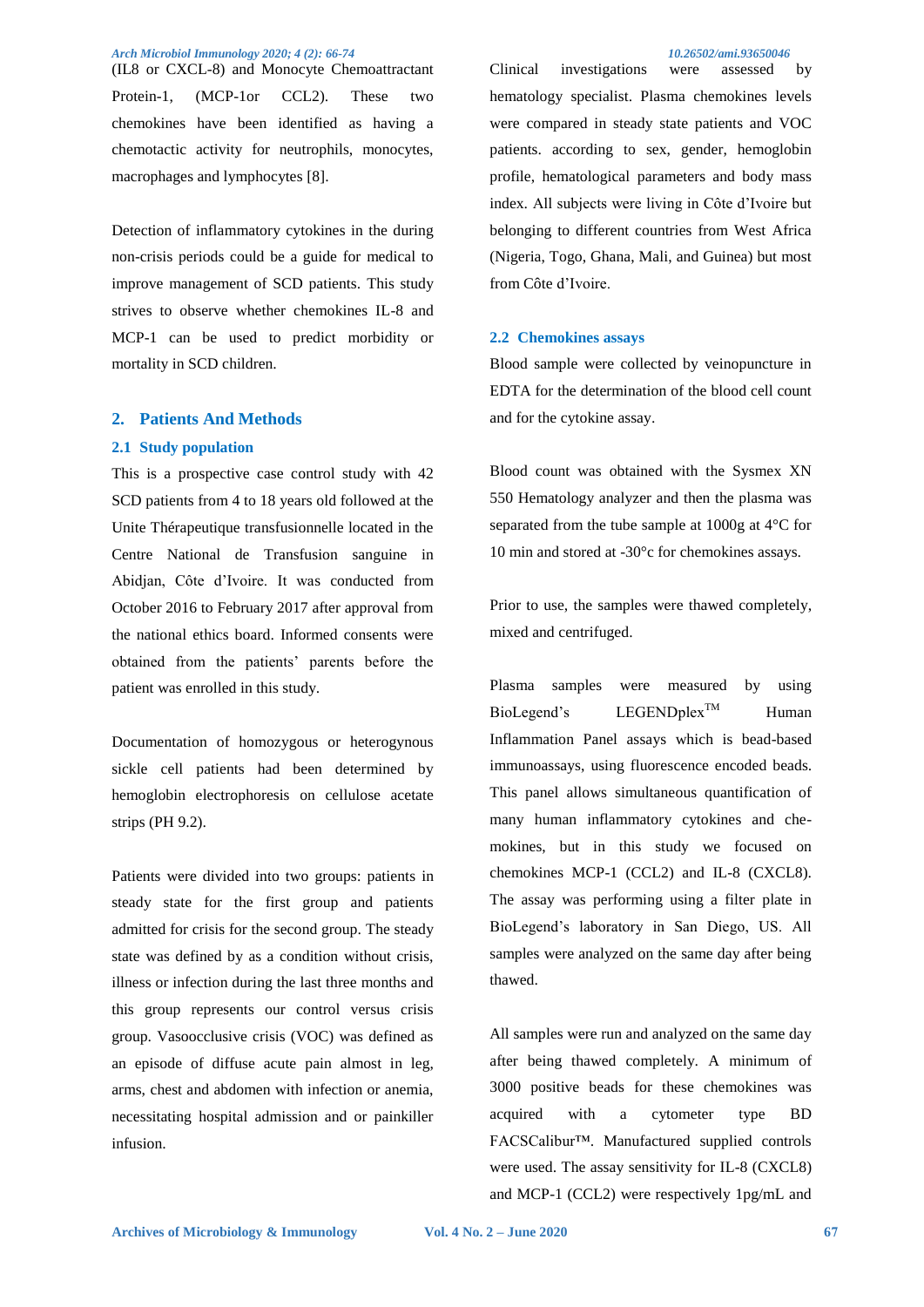(IL8 or CXCL-8) and Monocyte Chemoattractant Protein-1, (MCP-1or CCL2). These two chemokines have been identified as having a chemotactic activity for neutrophils, monocytes, macrophages and lymphocytes [8].

Detection of inflammatory cytokines in the during non-crisis periods could be a guide for medical to improve management of SCD patients. This study strives to observe whether chemokines IL-8 and MCP-1 can be used to predict morbidity or mortality in SCD children.

### **2. Patients And Methods**

#### **2.1 Study population**

This is a prospective case control study with 42 SCD patients from 4 to 18 years old followed at the Unite Thérapeutique transfusionnelle located in the Centre National de Transfusion sanguine in Abidjan, Côte d'Ivoire. It was conducted from October 2016 to February 2017 after approval from the national ethics board. Informed consents were obtained from the patients' parents before the patient was enrolled in this study.

Documentation of homozygous or heterogynous sickle cell patients had been determined by hemoglobin electrophoresis on cellulose acetate strips (PH 9.2).

Patients were divided into two groups: patients in steady state for the first group and patients admitted for crisis for the second group. The steady state was defined by as a condition without crisis, illness or infection during the last three months and this group represents our control versus crisis group. Vasoocclusive crisis (VOC) was defined as an episode of diffuse acute pain almost in leg, arms, chest and abdomen with infection or anemia, necessitating hospital admission and or painkiller infusion.

Clinical investigations were assessed by hematology specialist. Plasma chemokines levels were compared in steady state patients and VOC patients. according to sex, gender, hemoglobin profile, hematological parameters and body mass index. All subjects were living in Côte d'Ivoire but belonging to different countries from West Africa (Nigeria, Togo, Ghana, Mali, and Guinea) but most from Côte d'Ivoire.

#### **2.2 Chemokines assays**

Blood sample were collected by veinopuncture in EDTA for the determination of the blood cell count and for the cytokine assay.

Blood count was obtained with the Sysmex XN 550 Hematology analyzer and then the plasma was separated from the tube sample at 1000g at 4°C for 10 min and stored at -30°c for chemokines assays.

Prior to use, the samples were thawed completely, mixed and centrifuged.

Plasma samples were measured by using  $Biollegend's$  LEGENDplex<sup>TM</sup> Human Inflammation Panel assays which is bead-based immunoassays, using fluorescence encoded beads. This panel allows simultaneous quantification of many human inflammatory cytokines and chemokines, but in this study we focused on chemokines MCP-1 (CCL2) and IL-8 (CXCL8). The assay was performing using a filter plate in BioLegend's laboratory in San Diego, US. All samples were analyzed on the same day after being thawed.

All samples were run and analyzed on the same day after being thawed completely. A minimum of 3000 positive beads for these chemokines was acquired with a cytometer type BD FACSCalibur™. Manufactured supplied controls were used. The assay sensitivity for IL-8 (CXCL8) and MCP-1 (CCL2) were respectively 1pg/mL and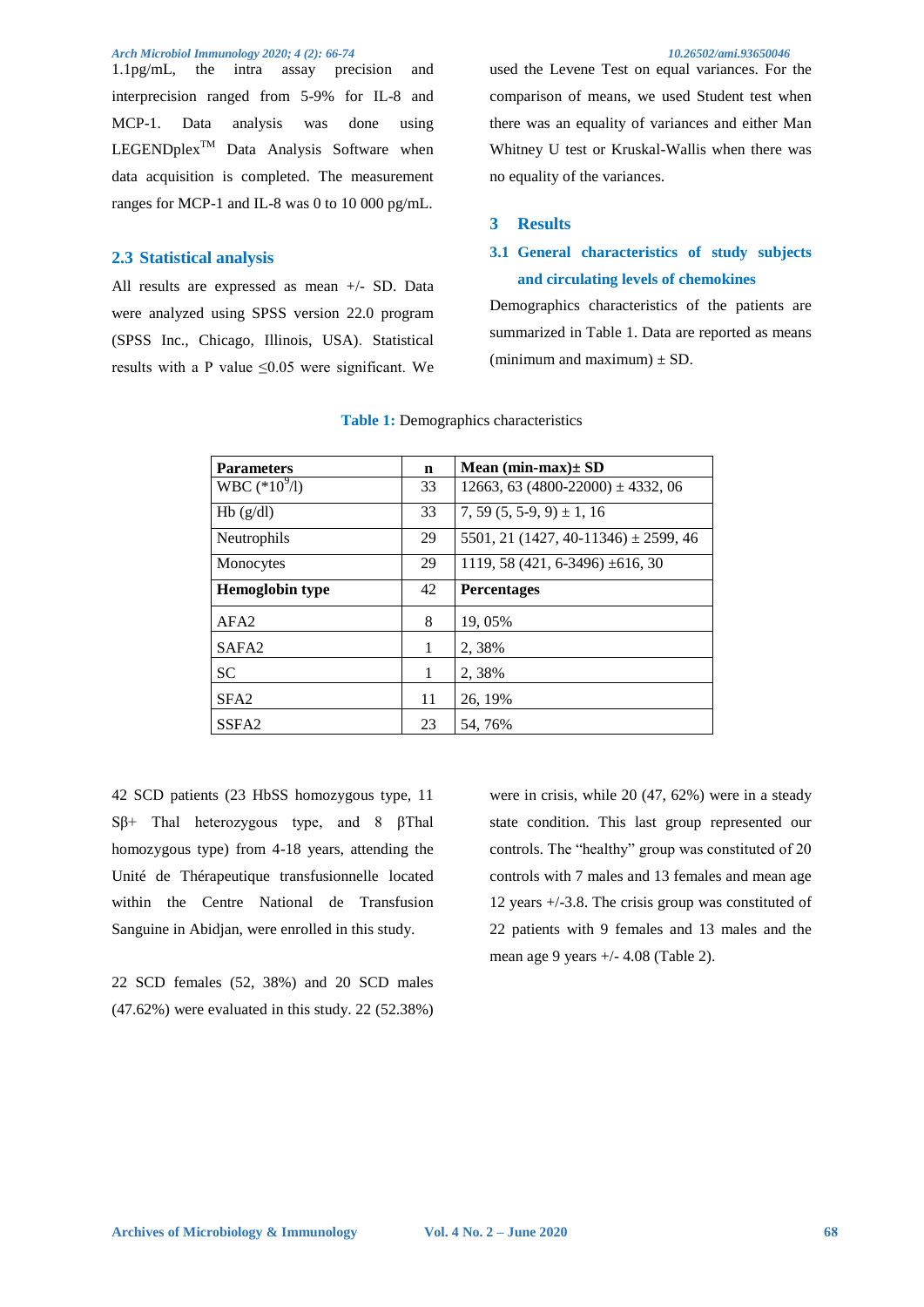1.1pg/mL, the intra assay precision and interprecision ranged from 5-9% for IL-8 and MCP-1. Data analysis was done using  $LEGENDplex^{TM}$  Data Analysis Software when data acquisition is completed. The measurement ranges for MCP-1 and IL-8 was 0 to 10 000 pg/mL.

#### **2.3 Statistical analysis**

All results are expressed as mean +/- SD. Data were analyzed using SPSS version 22.0 program (SPSS Inc., Chicago, Illinois, USA). Statistical results with a P value ≤0.05 were significant. We used the Levene Test on equal variances. For the comparison of means, we used Student test when there was an equality of variances and either Man Whitney U test or Kruskal-Wallis when there was no equality of the variances.

#### **3 Results**

# **3.1 General characteristics of study subjects and circulating levels of chemokines**

Demographics characteristics of the patients are summarized in Table 1. Data are reported as means (minimum and maximum)  $\pm$  SD.

| $\mathbf n$ | Mean $(min-max) \pm SD$                  |
|-------------|------------------------------------------|
| 33          | 12663, 63 (4800-22000) $\pm$ 4332, 06    |
| 33          | $7, 59$ $(5, 5-9, 9) \pm 1, 16$          |
| 29          | 5501, 21 (1427, 40-11346) $\pm$ 2599, 46 |
| 29          | 1119, 58 (421, 6-3496) $\pm 616$ , 30    |
| 42          | <b>Percentages</b>                       |
| 8           | 19,05%                                   |
| 1           | 2,38%                                    |
| 1           | 2,38%                                    |
| 11          | 26, 19%                                  |
| 23          | 54, 76%                                  |
|             |                                          |

#### **Table 1:** Demographics characteristics

42 SCD patients (23 HbSS homozygous type, 11 Sβ+ Thal heterozygous type, and 8 βThal homozygous type) from 4-18 years, attending the Unité de Thérapeutique transfusionnelle located within the Centre National de Transfusion Sanguine in Abidjan, were enrolled in this study.

22 SCD females (52, 38%) and 20 SCD males (47.62%) were evaluated in this study. 22 (52.38%) were in crisis, while 20 (47, 62%) were in a steady state condition. This last group represented our controls. The "healthy" group was constituted of 20 controls with 7 males and 13 females and mean age 12 years +/-3.8. The crisis group was constituted of 22 patients with 9 females and 13 males and the mean age 9 years +/- 4.08 (Table 2).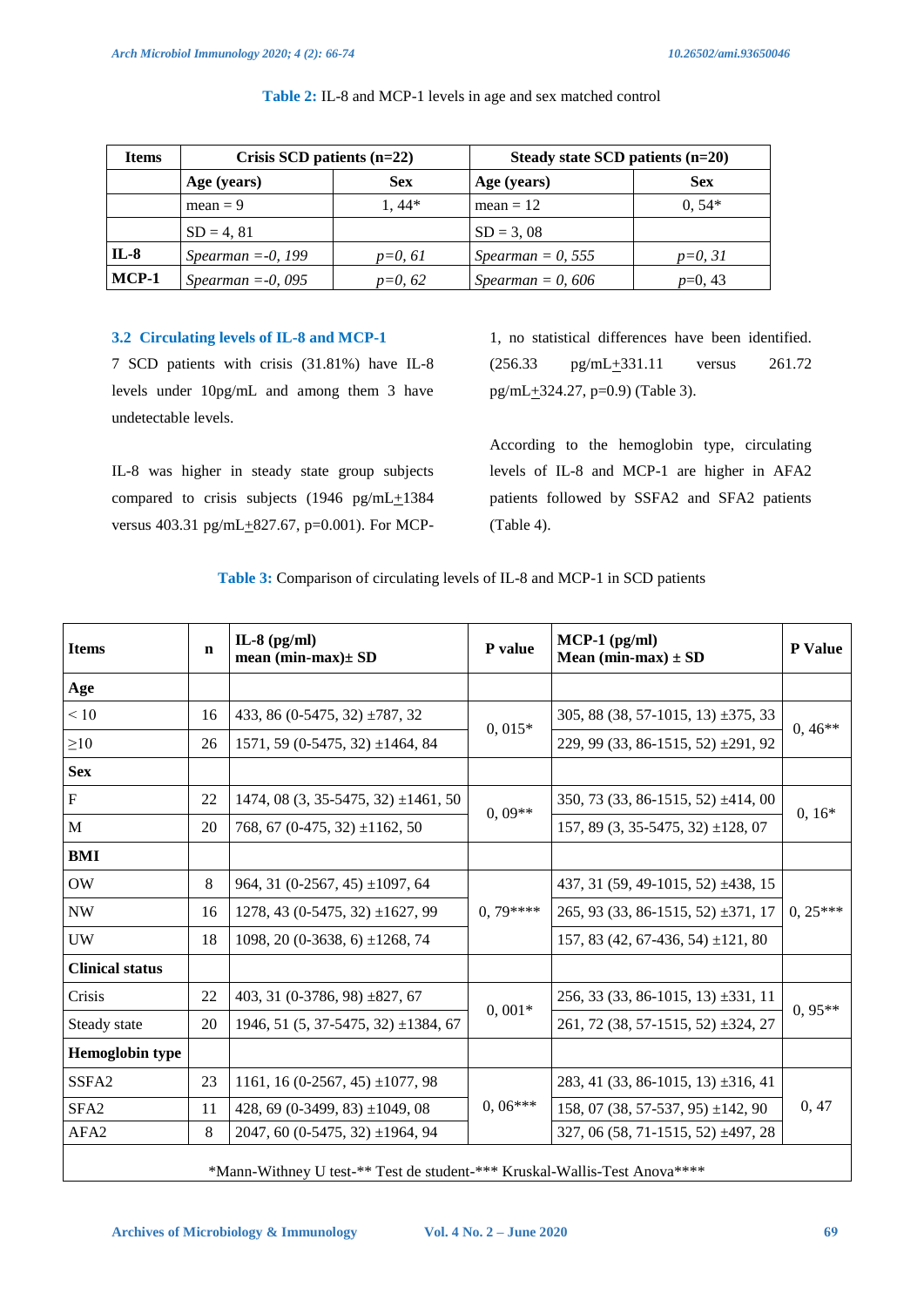| <b>Items</b> | Crisis SCD patients $(n=22)$ |            | Steady state SCD patients $(n=20)$ |            |  |  |
|--------------|------------------------------|------------|------------------------------------|------------|--|--|
|              | Age (years)                  | <b>Sex</b> | Age (years)                        | <b>Sex</b> |  |  |
|              | $mean = 9$                   | $1.44*$    | $mean = 12$                        | $0.54*$    |  |  |
|              | $SD = 4, 81$                 |            | $SD = 3,08$                        |            |  |  |
| IL-8         | Spearman $=-0$ , 199         | $p=0, 61$  | Spearman = 0, 555                  | $p=0, 31$  |  |  |
| MCP-1        | Spearman $=-0$ , 095         | $p=0, 62$  | Spearman = 0, 606                  | $p=0, 43$  |  |  |

**Table 2:** IL-8 and MCP-1 levels in age and sex matched control

# **3.2 Circulating levels of IL-8 and MCP-1**

7 SCD patients with crisis (31.81%) have IL-8 levels under 10pg/mL and among them 3 have undetectable levels.

IL-8 was higher in steady state group subjects compared to crisis subjects (1946 pg/mL $\pm$ 1384 versus 403.31 pg/mL $+827.67$ , p=0.001). For MCP-

1, no statistical differences have been identified.  $(256.33 \text{ pg/mL} \pm 331.11 \text{ versus } 261.72$ pg/mL+324.27, p=0.9) (Table 3).

According to the hemoglobin type, circulating levels of IL-8 and MCP-1 are higher in AFA2 patients followed by SSFA2 and SFA2 patients (Table 4).

| <b>Items</b>           | n  | IL-8 $(pg/ml)$<br>mean $(min-max) \pm SD$                                 | P value   | $MCP-1$ (pg/ml)<br>Mean (min-max) $\pm$ SD | <b>P</b> Value |  |
|------------------------|----|---------------------------------------------------------------------------|-----------|--------------------------------------------|----------------|--|
| Age                    |    |                                                                           |           |                                            |                |  |
| < 10                   | 16 | 433, 86 (0-5475, 32) $\pm$ 787, 32                                        |           | 305, 88 (38, 57-1015, 13) $\pm$ 375, 33    |                |  |
| $\geq 10$              | 26 | $1571, 59$ (0-5475, 32) $\pm$ 1464, 84                                    | $0,015*$  | 229, 99 (33, 86-1515, 52) ± 291, 92        | $0,46**$       |  |
| <b>Sex</b>             |    |                                                                           |           |                                            |                |  |
| ${\bf F}$              | 22 | $1474, 08$ (3, 35-5475, 32) $\pm 1461, 50$                                |           | $350, 73$ (33, 86-1515, 52) $\pm 414, 00$  | $0, 16*$       |  |
| M                      | 20 | 768, 67 (0-475, 32) $\pm$ 1162, 50                                        | $0.09**$  | 157, 89 $(3, 35-5475, 32) \pm 128, 07$     |                |  |
| <b>BMI</b>             |    |                                                                           |           |                                            |                |  |
| OW                     | 8  | 964, 31 (0-2567, 45) $\pm$ 1097, 64                                       |           | 437, 31 (59, 49-1015, 52) ±438, 15         | $0, 25***$     |  |
| <b>NW</b>              | 16 | $1278, 43$ (0-5475, 32) $\pm 1627, 99$                                    | $0.79***$ | $265, 93$ (33, 86-1515, 52) $\pm$ 371, 17  |                |  |
| UW                     | 18 | 1098, 20 (0-3638, 6) $\pm$ 1268, 74                                       |           | 157, 83 (42, 67-436, 54) $\pm$ 121, 80     |                |  |
| <b>Clinical status</b> |    |                                                                           |           |                                            |                |  |
| Crisis                 | 22 | 403, 31 (0-3786, 98) $\pm$ 827, 67                                        |           | $256, 33(33, 86-1015, 13) \pm 331, 11$     | $0,95**$       |  |
| Steady state           | 20 | $1946, 51(5, 37-5475, 32) \pm 1384, 67$                                   | $0,001*$  | 261, 72 (38, 57-1515, 52) ±324, 27         |                |  |
| <b>Hemoglobin</b> type |    |                                                                           |           |                                            |                |  |
| SSFA <sub>2</sub>      | 23 | 1161, 16 (0-2567, 45) $\pm$ 1077, 98                                      |           | $283, 41$ (33, 86-1015, 13) $\pm 316, 41$  | 0, 47          |  |
| SFA <sub>2</sub>       | 11 | 428, 69 (0-3499, 83) $\pm$ 1049, 08                                       | $0,06***$ | 158, 07 (38, 57-537, 95) $\pm$ 142, 90     |                |  |
| AFA <sub>2</sub>       | 8  | $2047, 60$ (0-5475, 32) ±1964, 94                                         |           | 327, 06 (58, 71-1515, 52) ±497, 28         |                |  |
|                        |    | *Mann-Withney U test-** Test de student-*** Kruskal-Wallis-Test Anova**** |           |                                            |                |  |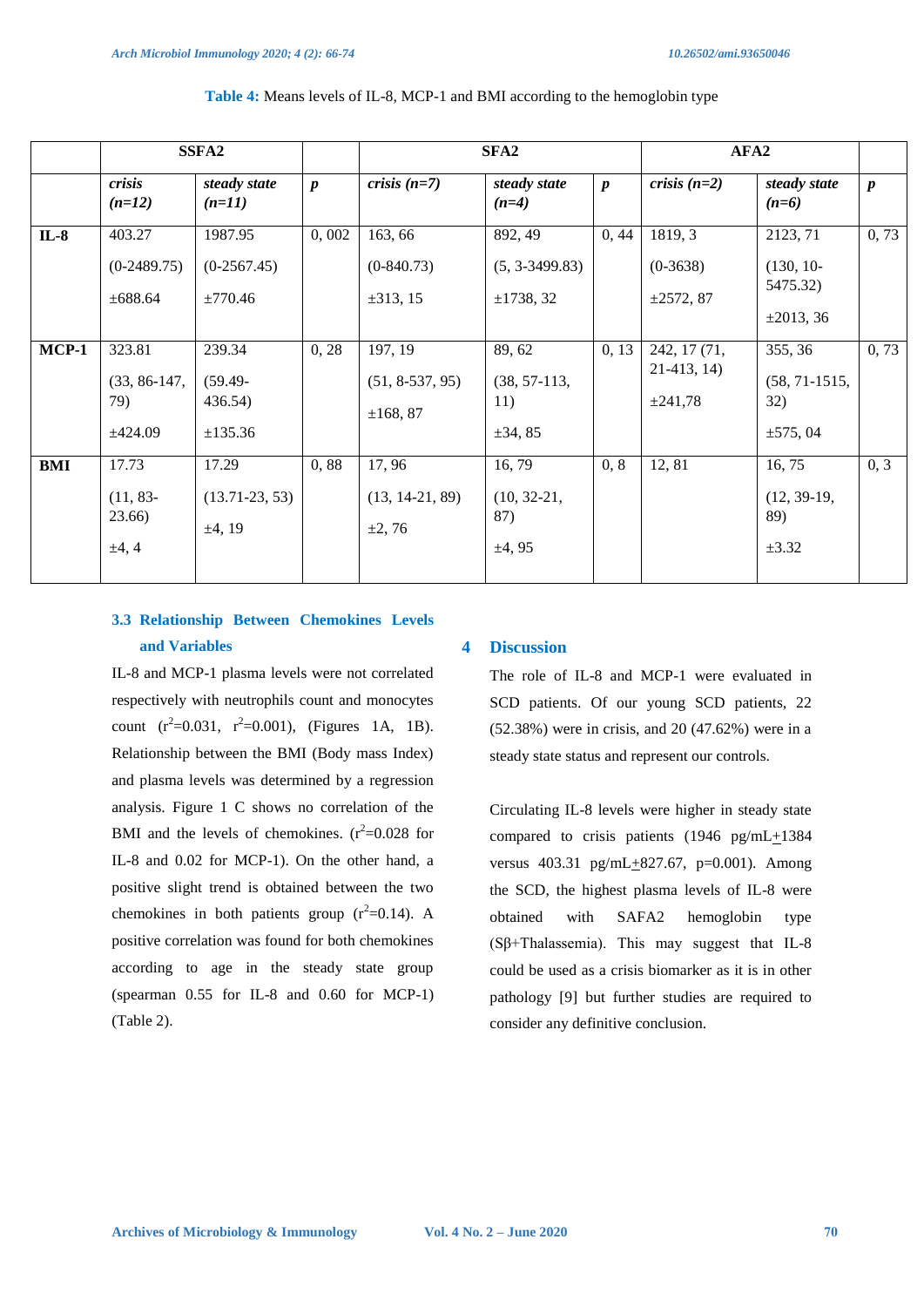|         | SSFA <sub>2</sub>                           |                                            |                  | SFA <sub>2</sub>                         |                                                 | AFA <sub>2</sub> |                                             |                                                       |                  |
|---------|---------------------------------------------|--------------------------------------------|------------------|------------------------------------------|-------------------------------------------------|------------------|---------------------------------------------|-------------------------------------------------------|------------------|
|         | crisis<br>$(n=12)$                          | steady state<br>$(n=11)$                   | $\boldsymbol{p}$ | crisis $(n=7)$                           | steady state<br>$(n=4)$                         | $\boldsymbol{p}$ | crisis $(n=2)$                              | steady state<br>$(n=6)$                               | $\boldsymbol{p}$ |
| $IL-8$  | 403.27<br>$(0-2489.75)$<br>±688.64          | 1987.95<br>$(0-2567.45)$<br>$\pm 770.46$   | 0,002            | 163, 66<br>$(0-840.73)$<br>$\pm 313, 15$ | 892, 49<br>$(5, 3-3499.83)$<br>±1738,32         | 0, 44            | 1819, 3<br>$(0-3638)$<br>$\pm 2572, 87$     | 2123, 71<br>$(130, 10-$<br>5475.32)<br>$\pm 2013, 36$ | 0, 73            |
| $MCP-1$ | 323.81<br>$(33, 86-147,$<br>79)<br>±424.09  | 239.34<br>$(59.49 -$<br>436.54)<br>±135.36 | 0, 28            | 197, 19<br>$(51, 8-537, 95)$<br>±168, 87 | 89, 62<br>$(38, 57-113,$<br>11)<br>$\pm 34, 85$ | 0, 13            | 242, 17 (71,<br>21-413, 14)<br>$\pm 241,78$ | 355, 36<br>$(58, 71 - 1515,$<br>32)<br>$\pm 575,04$   | 0,73             |
| BMI     | 17.73<br>$(11, 83-$<br>23.66)<br>$\pm 4, 4$ | 17.29<br>$(13.71-23, 53)$<br>±4, 19        | 0,88             | 17,96<br>$(13, 14-21, 89)$<br>±2,76      | 16,79<br>$(10, 32-21,$<br>87)<br>±4,95          | 0, 8             | 12, 81                                      | 16, 75<br>$(12, 39-19,$<br>89)<br>$\pm 3.32$          | 0, 3             |

#### **Table 4:** Means levels of IL-8, MCP-1 and BMI according to the hemoglobin type

# **3.3 Relationship Between Chemokines Levels and Variables**

#### **4 Discussion**

IL-8 and MCP-1 plasma levels were not correlated respectively with neutrophils count and monocytes count  $(r^2=0.031, r^2=0.001)$ , (Figures 1A, 1B). Relationship between the BMI (Body mass Index) and plasma levels was determined by a regression analysis. Figure 1 C shows no correlation of the BMI and the levels of chemokines.  $(r^2=0.028)$  for IL-8 and 0.02 for MCP-1). On the other hand, a positive slight trend is obtained between the two chemokines in both patients group  $(r^2=0.14)$ . A positive correlation was found for both chemokines according to age in the steady state group (spearman 0.55 for IL-8 and 0.60 for MCP-1) (Table 2).

The role of IL-8 and MCP-1 were evaluated in SCD patients. Of our young SCD patients, 22 (52.38%) were in crisis, and 20 (47.62%) were in a steady state status and represent our controls.

Circulating IL-8 levels were higher in steady state compared to crisis patients (1946 pg/mL+1384 versus 403.31 pg/mL+827.67, p=0.001). Among the SCD, the highest plasma levels of IL-8 were obtained with SAFA2 hemoglobin type (Sβ+Thalassemia). This may suggest that IL-8 could be used as a crisis biomarker as it is in other pathology [9] but further studies are required to consider any definitive conclusion.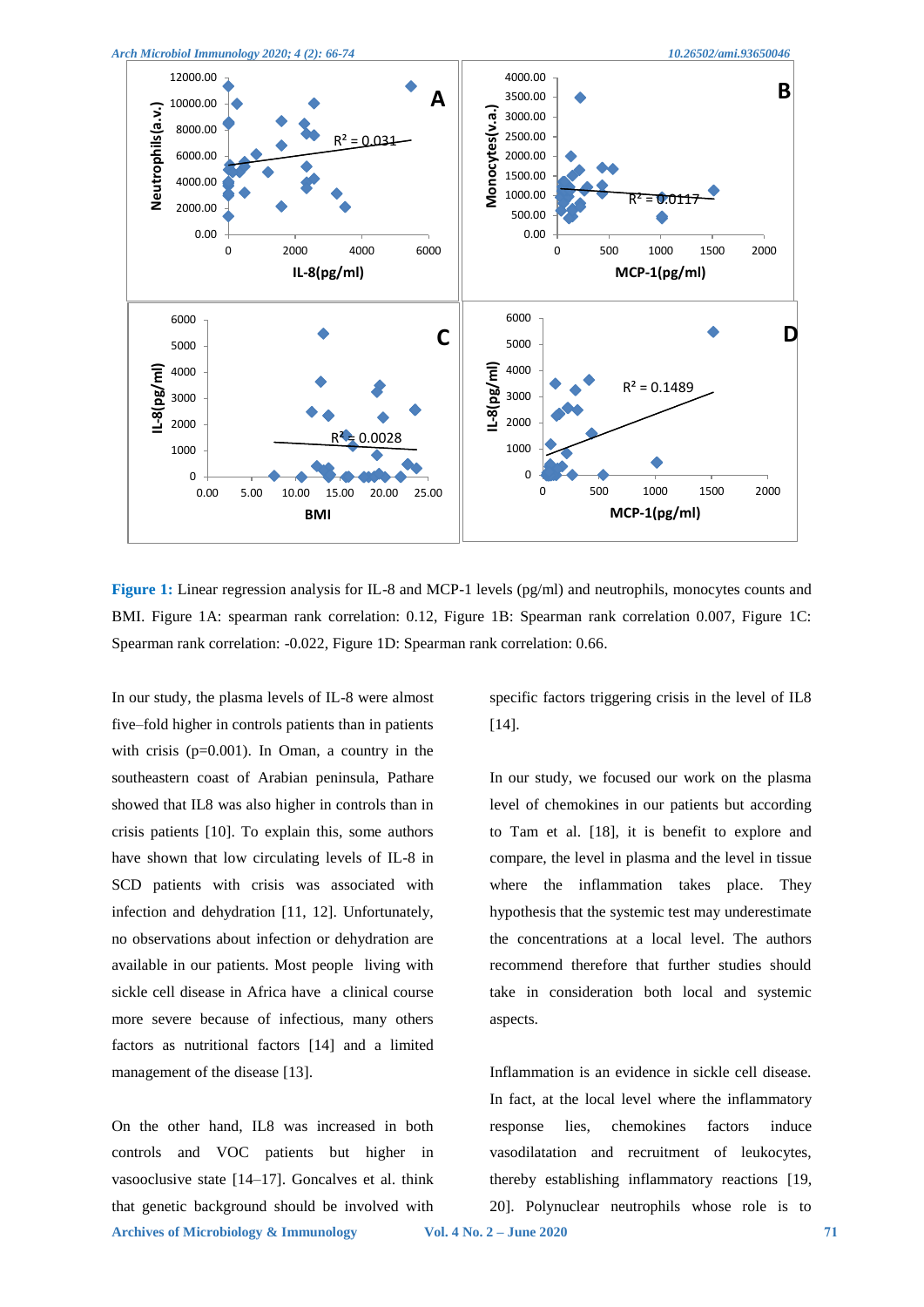



**Figure 1:** Linear regression analysis for IL-8 and MCP-1 levels (pg/ml) and neutrophils, monocytes counts and BMI. Figure 1A: spearman rank correlation: 0.12, Figure 1B: Spearman rank correlation 0.007, Figure 1C: Spearman rank correlation: -0.022, Figure 1D: Spearman rank correlation: 0.66.

In our study, the plasma levels of IL-8 were almost five–fold higher in controls patients than in patients with crisis (p=0.001). In Oman, a country in the southeastern coast of Arabian peninsula, Pathare showed that IL8 was also higher in controls than in crisis patients [10]. To explain this, some authors have shown that low circulating levels of IL-8 in SCD patients with crisis was associated with infection and dehydration [11, 12]. Unfortunately, no observations about infection or dehydration are available in our patients. Most people living with sickle cell disease in Africa have a clinical course more severe because of infectious, many others factors as nutritional factors [14] and a limited management of the disease [13].

**Archives of Microbiology & Immunology Vol. 4 No. 2 – June 2020 71** On the other hand, IL8 was increased in both controls and VOC patients but higher in vasooclusive state [14–17]. Goncalves et al. think that genetic background should be involved with

specific factors triggering crisis in the level of IL8 [14].

In our study, we focused our work on the plasma level of chemokines in our patients but according to Tam et al. [18], it is benefit to explore and compare, the level in plasma and the level in tissue where the inflammation takes place. They hypothesis that the systemic test may underestimate the concentrations at a local level. The authors recommend therefore that further studies should take in consideration both local and systemic aspects.

Inflammation is an evidence in sickle cell disease. In fact, at the local level where the inflammatory response lies, chemokines factors induce vasodilatation and recruitment of leukocytes, thereby establishing inflammatory reactions [19, 20]. Polynuclear neutrophils whose role is to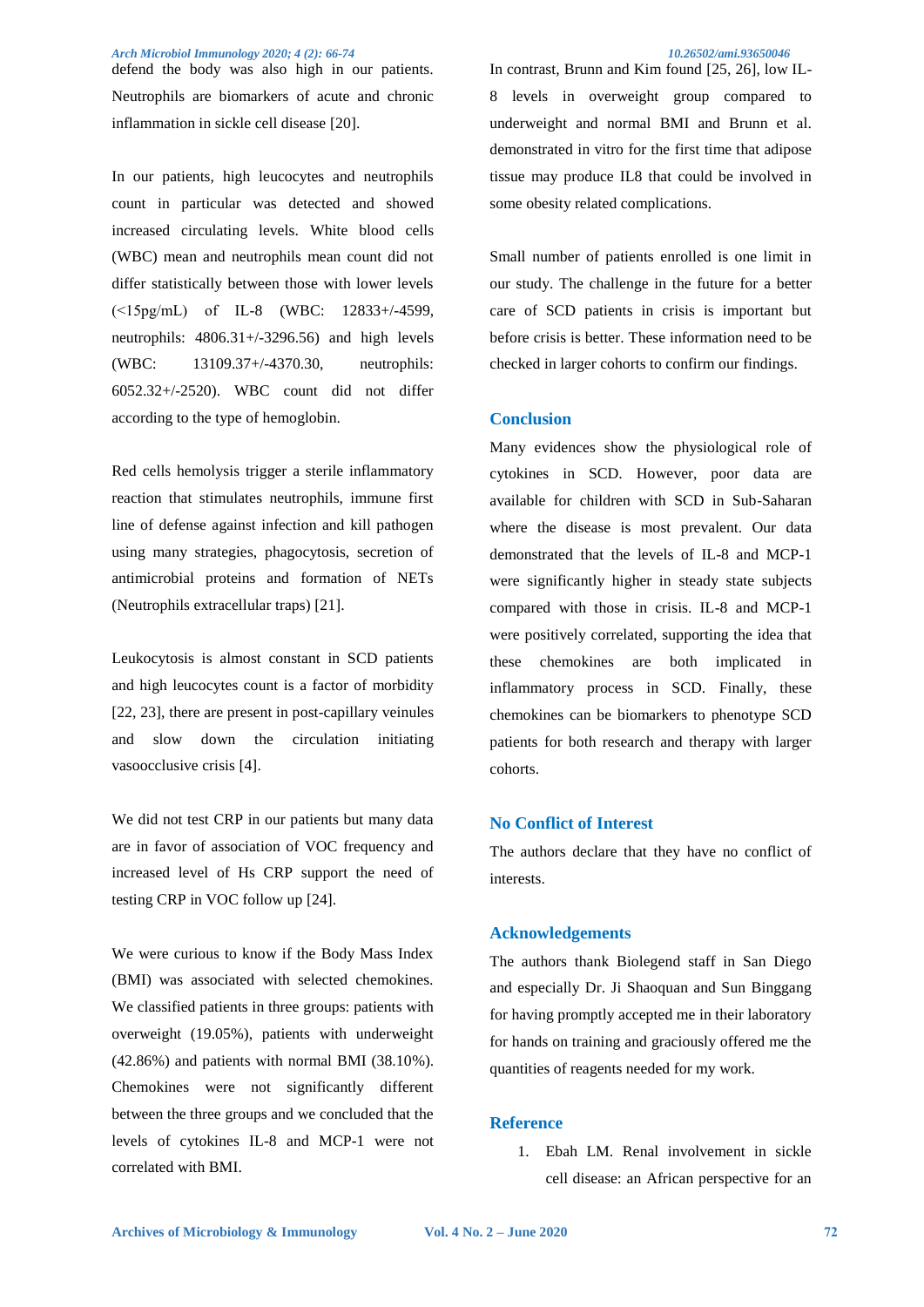defend the body was also high in our patients. Neutrophils are biomarkers of acute and chronic inflammation in sickle cell disease [20].

In our patients, high leucocytes and neutrophils count in particular was detected and showed increased circulating levels. White blood cells (WBC) mean and neutrophils mean count did not differ statistically between those with lower levels (˂15pg/mL) of IL-8 (WBC: 12833+/-4599, neutrophils: 4806.31+/-3296.56) and high levels (WBC: 13109.37+/-4370.30, neutrophils: 6052.32+/-2520). WBC count did not differ according to the type of hemoglobin.

Red cells hemolysis trigger a sterile inflammatory reaction that stimulates neutrophils, immune first line of defense against infection and kill pathogen using many strategies, phagocytosis, secretion of antimicrobial proteins and formation of NETs (Neutrophils extracellular traps) [21].

Leukocytosis is almost constant in SCD patients and high leucocytes count is a factor of morbidity [22, 23], there are present in post-capillary veinules and slow down the circulation initiating vasoocclusive crisis [4].

We did not test CRP in our patients but many data are in favor of association of VOC frequency and increased level of Hs CRP support the need of testing CRP in VOC follow up [24].

We were curious to know if the Body Mass Index (BMI) was associated with selected chemokines. We classified patients in three groups: patients with overweight (19.05%), patients with underweight (42.86%) and patients with normal BMI (38.10%). Chemokines were not significantly different between the three groups and we concluded that the levels of cytokines IL-8 and MCP-1 were not correlated with BMI.

In contrast, Brunn and Kim found [25, 26], low IL-8 levels in overweight group compared to underweight and normal BMI and Brunn et al. demonstrated in vitro for the first time that adipose tissue may produce IL8 that could be involved in some obesity related complications.

Small number of patients enrolled is one limit in our study. The challenge in the future for a better care of SCD patients in crisis is important but before crisis is better. These information need to be checked in larger cohorts to confirm our findings.

#### **Conclusion**

Many evidences show the physiological role of cytokines in SCD. However, poor data are available for children with SCD in Sub-Saharan where the disease is most prevalent. Our data demonstrated that the levels of IL-8 and MCP-1 were significantly higher in steady state subjects compared with those in crisis. IL-8 and MCP-1 were positively correlated, supporting the idea that these chemokines are both implicated in inflammatory process in SCD. Finally, these chemokines can be biomarkers to phenotype SCD patients for both research and therapy with larger cohorts.

#### **No Conflict of Interest**

The authors declare that they have no conflict of interests.

### **Acknowledgements**

The authors thank Biolegend staff in San Diego and especially Dr. Ji Shaoquan and Sun Binggang for having promptly accepted me in their laboratory for hands on training and graciously offered me the quantities of reagents needed for my work.

#### **Reference**

1. Ebah LM. Renal involvement in sickle cell disease: an African perspective for an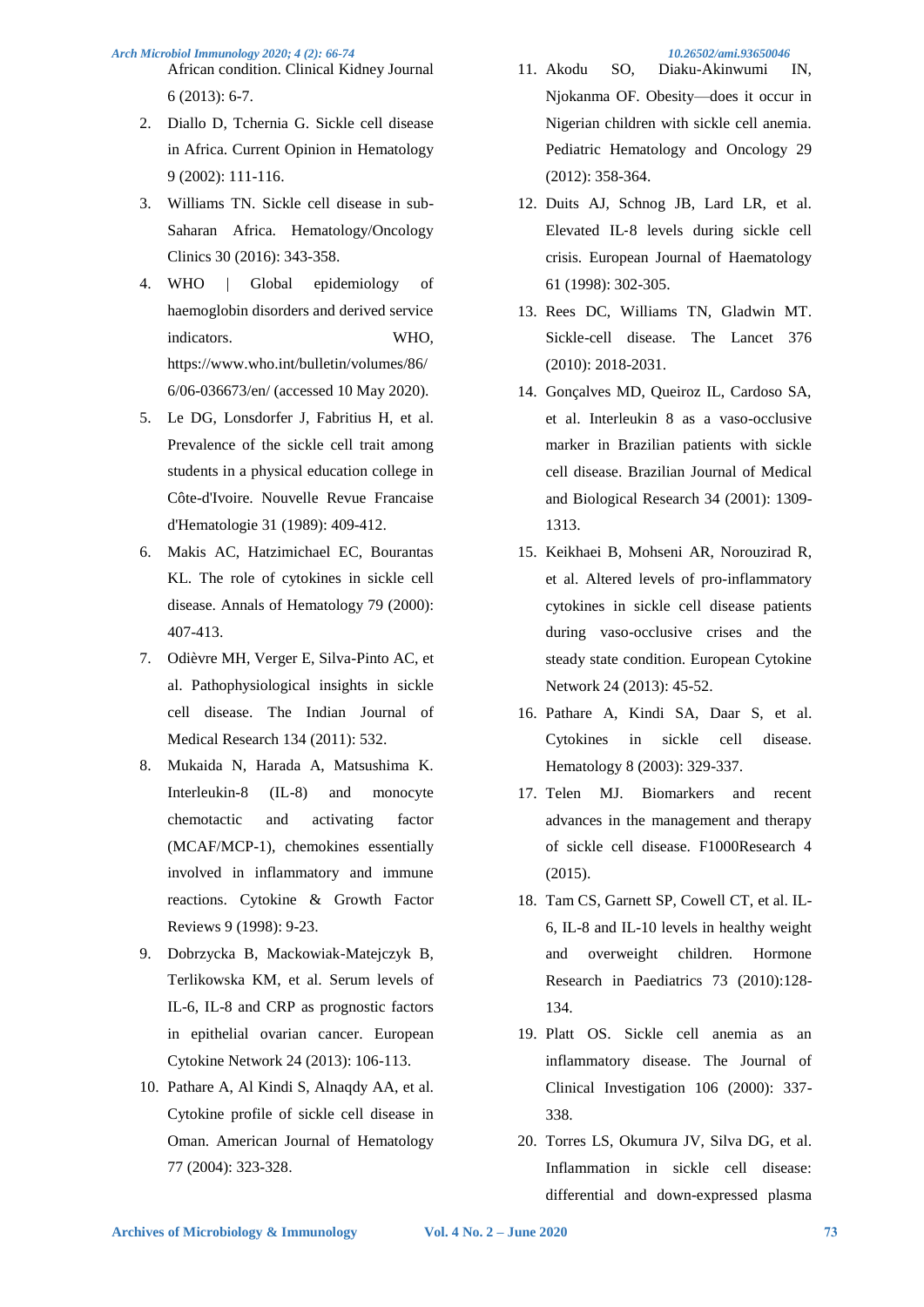African condition. Clinical Kidney Journal 6 (2013): 6-7.

- 2. Diallo D, Tchernia G. Sickle cell disease in Africa. Current Opinion in Hematology 9 (2002): 111-116.
- 3. Williams TN. Sickle cell disease in sub-Saharan Africa. Hematology/Oncology Clinics 30 (2016): 343-358.
- 4. WHO | Global epidemiology of haemoglobin disorders and derived service indicators. WHO, https://www.who.int/bulletin/volumes/86/ 6/06-036673/en/ (accessed 10 May 2020).
- 5. Le DG, Lonsdorfer J, Fabritius H, et al. Prevalence of the sickle cell trait among students in a physical education college in Côte-d'Ivoire. Nouvelle Revue Francaise d'Hematologie 31 (1989): 409-412.
- 6. Makis AC, Hatzimichael EC, Bourantas KL. The role of cytokines in sickle cell disease. Annals of Hematology 79 (2000): 407-413.
- 7. Odièvre MH, Verger E, Silva-Pinto AC, et al. Pathophysiological insights in sickle cell disease. The Indian Journal of Medical Research 134 (2011): 532.
- 8. Mukaida N, Harada A, Matsushima K. Interleukin-8 (IL-8) and monocyte chemotactic and activating factor (MCAF/MCP-1), chemokines essentially involved in inflammatory and immune reactions. Cytokine & Growth Factor Reviews 9 (1998): 9-23.
- 9. Dobrzycka B, Mackowiak-Matejczyk B, Terlikowska KM, et al. Serum levels of IL-6, IL-8 and CRP as prognostic factors in epithelial ovarian cancer. European Cytokine Network 24 (2013): 106-113.
- 10. Pathare A, Al Kindi S, Alnaqdy AA, et al. Cytokine profile of sickle cell disease in Oman. American Journal of Hematology 77 (2004): 323-328.

- 11. Akodu SO, Diaku-Akinwumi IN, Njokanma OF. Obesity—does it occur in Nigerian children with sickle cell anemia. Pediatric Hematology and Oncology 29 (2012): 358-364.
- 12. Duits AJ, Schnog JB, Lard LR, et al. Elevated IL‐8 levels during sickle cell crisis. European Journal of Haematology 61 (1998): 302-305.
- 13. Rees DC, Williams TN, Gladwin MT. Sickle-cell disease. The Lancet 376 (2010): 2018-2031.
- 14. Gonçalves MD, Queiroz IL, Cardoso SA, et al. Interleukin 8 as a vaso-occlusive marker in Brazilian patients with sickle cell disease. Brazilian Journal of Medical and Biological Research 34 (2001): 1309- 1313.
- 15. Keikhaei B, Mohseni AR, Norouzirad R, et al. Altered levels of pro-inflammatory cytokines in sickle cell disease patients during vaso-occlusive crises and the steady state condition. European Cytokine Network 24 (2013): 45-52.
- 16. Pathare A, Kindi SA, Daar S, et al. Cytokines in sickle cell disease. Hematology 8 (2003): 329-337.
- 17. Telen MJ. Biomarkers and recent advances in the management and therapy of sickle cell disease. F1000Research 4 (2015).
- 18. Tam CS, Garnett SP, Cowell CT, et al. IL-6, IL-8 and IL-10 levels in healthy weight and overweight children. Hormone Research in Paediatrics 73 (2010):128- 134.
- 19. Platt OS. Sickle cell anemia as an inflammatory disease. The Journal of Clinical Investigation 106 (2000): 337- 338.
- 20. Torres LS, Okumura JV, Silva DG, et al. Inflammation in sickle cell disease: differential and down-expressed plasma